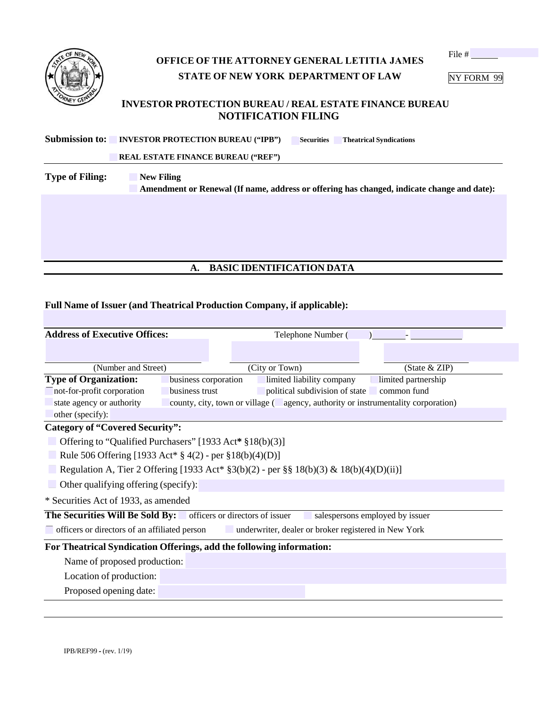| <b>NEW</b><br>OF      |  |
|-----------------------|--|
|                       |  |
|                       |  |
| ë.<br><b>RNEY GEN</b> |  |

## **OFFICE OF THE ATTORNEY GENERAL LETITIA JAMES STATE OF NEW YORK DEPARTMENT OF LAW**

File #

NY FORM 99

#### **INVESTOR PROTECTION BUREAU / REAL ESTATE FINANCE BUREAU NOTIFICATION FILING**

| <b>Submission to: INVESTOR PROTECTION BUREAU ("IPB")</b> | <b>Securities</b> | <b>Theatrical Syndications</b> |  |
|----------------------------------------------------------|-------------------|--------------------------------|--|
|----------------------------------------------------------|-------------------|--------------------------------|--|

□ **REAL ESTATE FINANCE BUREAU ("REF")**

**Type of Filing:** New Filing **IDED Amendment or Renewal (If name, address or offering has changed, indicate change and date):** 

### **A. BASIC IDENTIFICATION DATA**

#### **Full Name of Issuer (and Theatrical Production Company, if applicable):**

| <b>Address of Executive Offices:</b>                                                                  |                                                                                        | Telephone Number (        |                                |                                                                                   |  |
|-------------------------------------------------------------------------------------------------------|----------------------------------------------------------------------------------------|---------------------------|--------------------------------|-----------------------------------------------------------------------------------|--|
|                                                                                                       |                                                                                        |                           |                                |                                                                                   |  |
| (Number and Street)                                                                                   |                                                                                        | (City or Town)            |                                | (State & ZIP)                                                                     |  |
| <b>Type of Organization:</b>                                                                          | business corporation                                                                   | limited liability company |                                | limited partnership                                                               |  |
| not-for-profit corporation                                                                            | business trust                                                                         |                           | political subdivision of state | common fund                                                                       |  |
| state agency or authority                                                                             |                                                                                        |                           |                                | county, city, town or village ( agency, authority or instrumentality corporation) |  |
| other (specify):                                                                                      |                                                                                        |                           |                                |                                                                                   |  |
| <b>Category of "Covered Security":</b>                                                                |                                                                                        |                           |                                |                                                                                   |  |
| Offering to "Qualified Purchasers" [1933 Act* §18(b)(3)]                                              |                                                                                        |                           |                                |                                                                                   |  |
| Rule 506 Offering [1933 Act* $\S$ 4(2) - per $\S$ 18(b)(4)(D)]                                        |                                                                                        |                           |                                |                                                                                   |  |
|                                                                                                       | Regulation A, Tier 2 Offering [1933 Act* §3(b)(2) - per §§ 18(b)(3) & 18(b)(4)(D)(ii)] |                           |                                |                                                                                   |  |
| $\Box$ Other qualifying offering (specify):                                                           |                                                                                        |                           |                                |                                                                                   |  |
| * Securities Act of 1933, as amended                                                                  |                                                                                        |                           |                                |                                                                                   |  |
| The Securities Will Be Sold By: officers or directors of issuer<br>salespersons employed by issuer    |                                                                                        |                           |                                |                                                                                   |  |
| officers or directors of an affiliated person<br>underwriter, dealer or broker registered in New York |                                                                                        |                           |                                |                                                                                   |  |
| For Theatrical Syndication Offerings, add the following information:                                  |                                                                                        |                           |                                |                                                                                   |  |
| Name of proposed production:                                                                          |                                                                                        |                           |                                |                                                                                   |  |
| Location of production:                                                                               |                                                                                        |                           |                                |                                                                                   |  |
| Proposed opening date:                                                                                |                                                                                        |                           |                                |                                                                                   |  |
|                                                                                                       |                                                                                        |                           |                                |                                                                                   |  |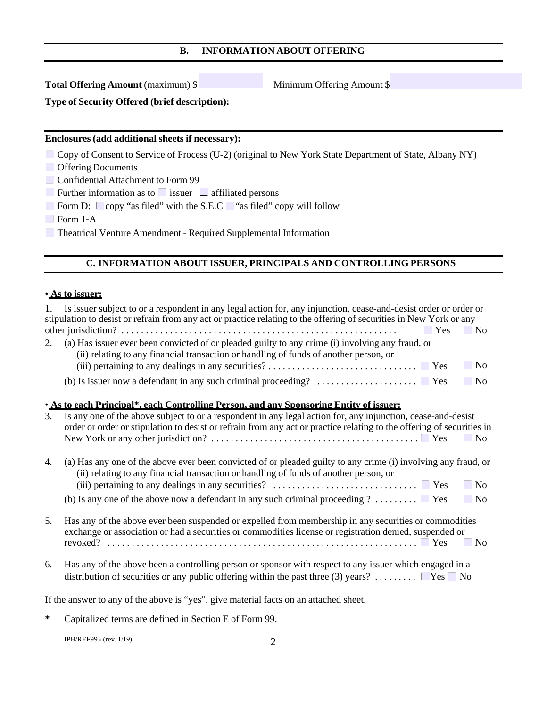#### **B. INFORMATION ABOUT OFFERING**

**Total Offering Amount** (maximum) \$

Minimum Offering Amount \$\_

**Type of Security Offered (brief description):**

#### **Enclosures (add additional sheets if necessary):**

- Copy of Consent to Service of Process (U-2) (original to New York State Department of State, Albany NY)
- □ Offering Documents
- Confidential Attachment to Form 99

 $\Box$  Further information as to  $\Box$  issuer  $\Box$  affiliated persons

- □ Form D: ☐ copy "as filed" with the S.E.C ☐ "as filed" copy will follow
- □ Form 1-A

■ Theatrical Venture Amendment - Required Supplemental Information

#### **C. INFORMATION ABOUT ISSUER, PRINCIPALS AND CONTROLLING PERSONS**

#### • **As to issuer:**

|    | Is issuer subject to or a respondent in any legal action for, any injunction, cease-and-desist order or order or<br>stipulation to desist or refrain from any act or practice relating to the offering of securities in New York or any<br>$\blacksquare$ No<br>Yes                                                                        |  |
|----|--------------------------------------------------------------------------------------------------------------------------------------------------------------------------------------------------------------------------------------------------------------------------------------------------------------------------------------------|--|
| 2. | (a) Has issuer ever been convicted of or pleaded guilty to any crime (i) involving any fraud, or<br>(ii) relating to any financial transaction or handling of funds of another person, or<br>$\Box$ No                                                                                                                                     |  |
|    | (b) Is issuer now a defendant in any such criminal proceeding? $\dots \dots \dots \dots \dots$<br>N <sub>0</sub>                                                                                                                                                                                                                           |  |
| 3. | • As to each Principal*, each Controlling Person, and any Sponsoring Entity of issuer:<br>Is any one of the above subject to or a respondent in any legal action for, any injunction, cease-and-desist<br>order or order or stipulation to desist or refrain from any act or practice relating to the offering of securities in<br>No.     |  |
| 4. | (a) Has any one of the above ever been convicted of or pleaded guilty to any crime (i) involving any fraud, or<br>(ii) relating to any financial transaction or handling of funds of another person, or<br>$\blacksquare$ No<br>(b) Is any one of the above now a defendant in any such criminal proceeding ? $\Box$ Yes<br>N <sub>0</sub> |  |
|    |                                                                                                                                                                                                                                                                                                                                            |  |
| 5. | Has any of the above ever been suspended or expelled from membership in any securities or commodities<br>exchange or association or had a securities or commodities license or registration denied, suspended or<br>No.                                                                                                                    |  |
|    | 6 Here any of the above been a controlling person or sponsor with respect to any issuer which engaged in a                                                                                                                                                                                                                                 |  |

6. Has any of the above been a controlling person or sponsor with respect to any issuer which engaged in a distribution of securities or any public offering within the past three (3) years? . . . . . . . .  $\blacktriangledown$  Yes  $\Box$  No

If the answer to any of the above is "yes", give material facts on an attached sheet.

**\*** Capitalized terms are defined in Section E of Form 99.

IPB/REF99 **-** (rev. 1/19)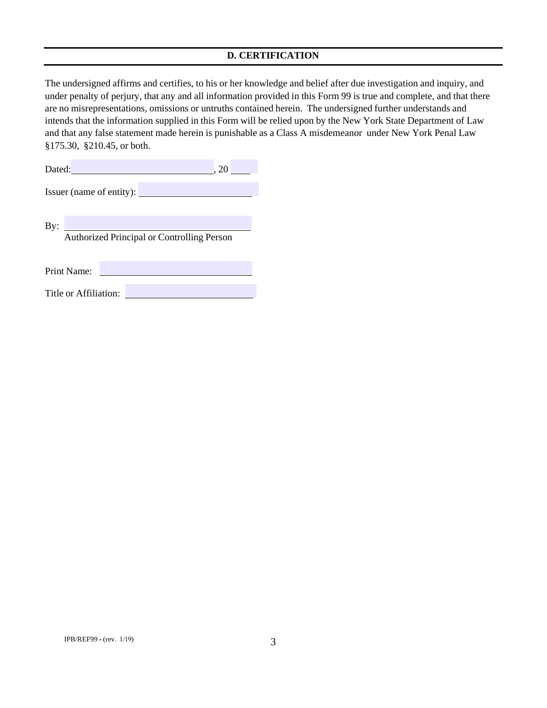#### **D. CERTIFICATION**

The undersigned affirms and certifies, to his or her knowledge and belief after due investigation and inquiry, and under penalty of perjury, that any and all information provided in this Form 99 is true and complete, and that there are no misrepresentations, omissions or untruths contained herein. The undersigned further understands and intends that the information supplied in this Form will be relied upon by the New York State Department of Law and that any false statement made herein is punishable as a Class A misdemeanor under New York Penal Law §175.30, §210.45, or both.

| Dated:<br>20 I           |                                            |  |  |  |
|--------------------------|--------------------------------------------|--|--|--|
| Issuer (name of entity): |                                            |  |  |  |
|                          |                                            |  |  |  |
| By:                      |                                            |  |  |  |
|                          | Authorized Principal or Controlling Person |  |  |  |
|                          |                                            |  |  |  |
|                          |                                            |  |  |  |
|                          | Print Name:                                |  |  |  |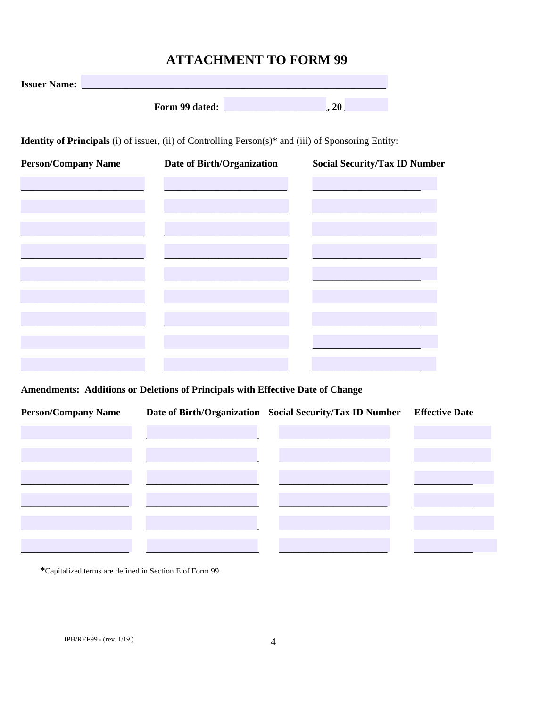# **ATTACHMENT TO FORM 99**

| <b>Issuer Name:</b>                                                                                                     |                |     |  |
|-------------------------------------------------------------------------------------------------------------------------|----------------|-----|--|
|                                                                                                                         | Form 99 dated: | .20 |  |
| <b>Identity of Principals</b> (i) of issuer, (ii) of Controlling Person(s) <sup>*</sup> and (iii) of Sponsoring Entity: |                |     |  |

| <b>Person/Company Name</b> | Date of Birth/Organization | <b>Social Security/Tax ID Number</b> |
|----------------------------|----------------------------|--------------------------------------|
|                            |                            |                                      |
|                            |                            |                                      |
|                            |                            |                                      |
|                            |                            |                                      |
|                            |                            |                                      |
|                            |                            |                                      |
|                            |                            |                                      |
|                            |                            |                                      |
|                            |                            |                                      |

Amendments: Additions or Deletions of Principals with Effective Date of Change

| <b>Person/Company Name</b> | Date of Birth/Organization Social Security/Tax ID Number | <b>Effective Date</b> |
|----------------------------|----------------------------------------------------------|-----------------------|
|                            |                                                          |                       |
|                            |                                                          |                       |
|                            |                                                          |                       |
|                            |                                                          |                       |
|                            |                                                          |                       |
|                            |                                                          |                       |
|                            |                                                          |                       |

\*Capitalized terms are defined in Section E of Form 99.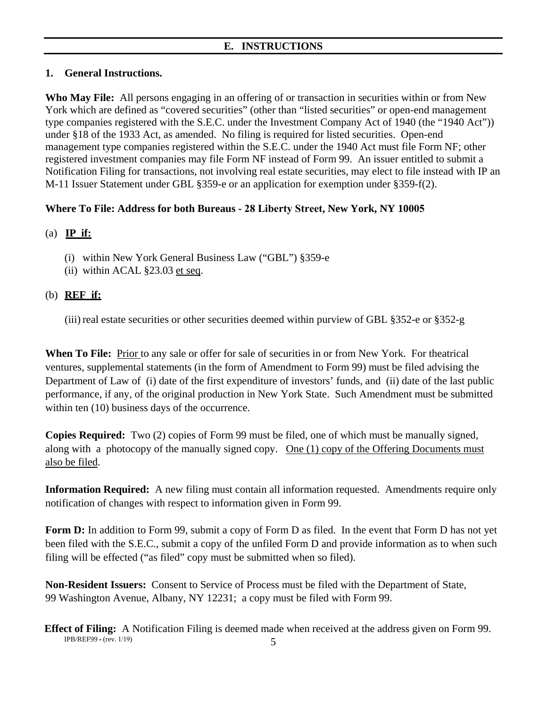### **1. General Instructions.**

**Who May File:** All persons engaging in an offering of or transaction in securities within or from New York which are defined as "covered securities" (other than "listed securities" or open-end management type companies registered with the S.E.C. under the Investment Company Act of 1940 (the "1940 Act")) under §18 of the 1933 Act, as amended. No filing is required for listed securities. Open-end management type companies registered within the S.E.C. under the 1940 Act must file Form NF; other registered investment companies may file Form NF instead of Form 99. An issuer entitled to submit a Notification Filing for transactions, not involving real estate securities, may elect to file instead with IP an M-11 Issuer Statement under GBL §359-e or an application for exemption under §359-f(2).

### **Where To File: Address for both Bureaus - 28 Liberty Street, New York, NY 10005**

### (a) **IP if:**

- (i) within New York General Business Law ("GBL") §359-e
- (ii) within ACAL §23.03 et seq.

### (b) **REF if:**

(iii) real estate securities or other securities deemed within purview of GBL §352-e or §352-g

When To File: **Prior** to any sale or offer for sale of securities in or from New York. For theatrical ventures, supplemental statements (in the form of Amendment to Form 99) must be filed advising the Department of Law of (i) date of the first expenditure of investors' funds, and (ii) date of the last public performance, if any, of the original production in New York State. Such Amendment must be submitted within ten (10) business days of the occurrence.

**Copies Required:** Two (2) copies of Form 99 must be filed, one of which must be manually signed, along with a photocopy of the manually signed copy. One  $(1)$  copy of the Offering Documents must also be filed.

**Information Required:** A new filing must contain all information requested. Amendments require only notification of changes with respect to information given in Form 99.

Form D: In addition to Form 99, submit a copy of Form D as filed. In the event that Form D has not yet been filed with the S.E.C., submit a copy of the unfiled Form D and provide information as to when such filing will be effected ("as filed" copy must be submitted when so filed).

**Non-Resident Issuers:** Consent to Service of Process must be filed with the Department of State, 99 Washington Avenue, Albany, NY 12231; a copy must be filed with Form 99.

IPB/REF99 **-** (rev. 1/19) 5 **Effect of Filing:** A Notification Filing is deemed made when received at the address given on Form 99.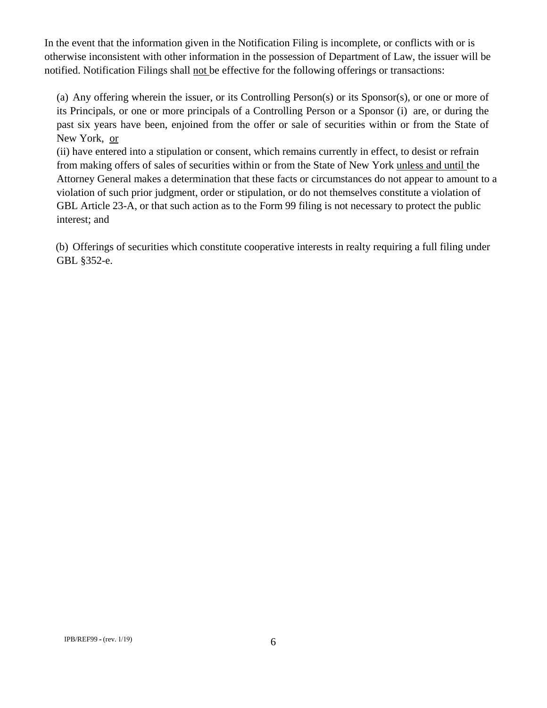In the event that the information given in the Notification Filing is incomplete, or conflicts with or is otherwise inconsistent with other information in the possession of Department of Law, the issuer will be notified. Notification Filings shall not be effective for the following offerings or transactions:

(a) Any offering wherein the issuer, or its Controlling Person(s) or its Sponsor(s), or one or more of its Principals, or one or more principals of a Controlling Person or a Sponsor (i) are, or during the past six years have been, enjoined from the offer or sale of securities within or from the State of New York, or

(ii) have entered into a stipulation or consent, which remains currently in effect, to desist or refrain from making offers of sales of securities within or from the State of New York unless and until the Attorney General makes a determination that these facts or circumstances do not appear to amount to a violation of such prior judgment, order or stipulation, or do not themselves constitute a violation of GBL Article 23-A, or that such action as to the Form 99 filing is not necessary to protect the public interest; and

(b) Offerings of securities which constitute cooperative interests in realty requiring a full filing under GBL §352-e.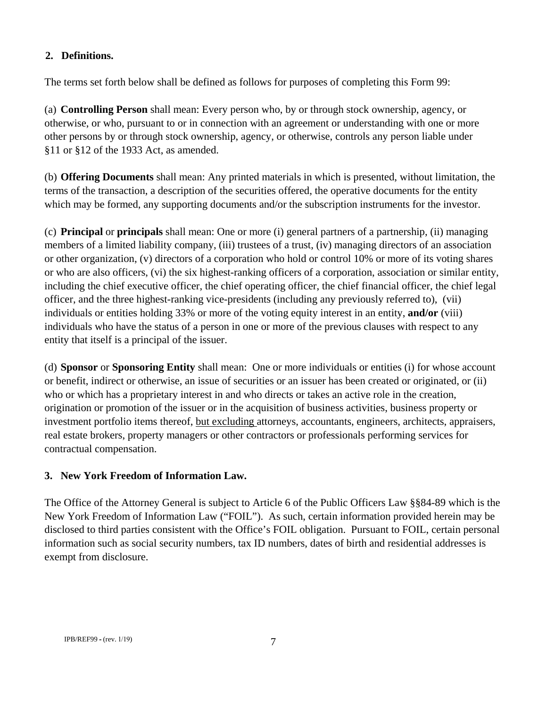### **2. Definitions.**

The terms set forth below shall be defined as follows for purposes of completing this Form 99:

(a) **Controlling Person** shall mean: Every person who, by or through stock ownership, agency, or otherwise, or who, pursuant to or in connection with an agreement or understanding with one or more other persons by or through stock ownership, agency, or otherwise, controls any person liable under §11 or §12 of the 1933 Act, as amended.

(b) **Offering Documents** shall mean: Any printed materials in which is presented, without limitation, the terms of the transaction, a description of the securities offered, the operative documents for the entity which may be formed, any supporting documents and/or the subscription instruments for the investor.

(c) **Principal** or **principals** shall mean: One or more (i) general partners of a partnership, (ii) managing members of a limited liability company, (iii) trustees of a trust, (iv) managing directors of an association or other organization, (v) directors of a corporation who hold or control 10% or more of its voting shares or who are also officers, (vi) the six highest-ranking officers of a corporation, association or similar entity, including the chief executive officer, the chief operating officer, the chief financial officer, the chief legal officer, and the three highest-ranking vice-presidents (including any previously referred to), (vii) individuals or entities holding 33% or more of the voting equity interest in an entity, **and/or** (viii) individuals who have the status of a person in one or more of the previous clauses with respect to any entity that itself is a principal of the issuer.

(d) **Sponsor** or **Sponsoring Entity** shall mean: One or more individuals or entities (i) for whose account or benefit, indirect or otherwise, an issue of securities or an issuer has been created or originated, or (ii) who or which has a proprietary interest in and who directs or takes an active role in the creation, origination or promotion of the issuer or in the acquisition of business activities, business property or investment portfolio items thereof, but excluding attorneys, accountants, engineers, architects, appraisers, real estate brokers, property managers or other contractors or professionals performing services for contractual compensation.

### **3. New York Freedom of Information Law.**

The Office of the Attorney General is subject to Article 6 of the Public Officers Law §§84-89 which is the New York Freedom of Information Law ("FOIL"). As such, certain information provided herein may be disclosed to third parties consistent with the Office's FOIL obligation. Pursuant to FOIL, certain personal information such as social security numbers, tax ID numbers, dates of birth and residential addresses is exempt from disclosure.